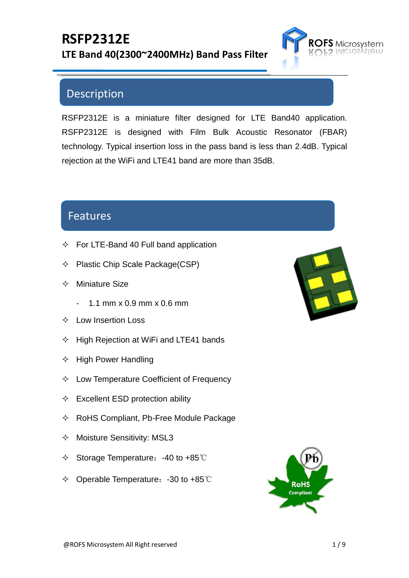

## Description

RSFP2312E is a miniature filter designed for LTE Band40 application. RSFP2312E is designed with Film Bulk Acoustic Resonator (FBAR) technology. Typical insertion loss in the pass band is less than 2.4dB. Typical rejection at the WiFi and LTE41 band are more than 35dB.

#### Features

- $\div$  For LTE-Band 40 Full band application
- $\Diamond$  Plastic Chip Scale Package(CSP)
- $\Diamond$  Miniature Size
	- 1.1 mm x 0.9 mm x 0.6 mm
- $\Diamond$  Low Insertion Loss
- $\Diamond$  High Rejection at WiFi and LTE41 bands
- $\div$  High Power Handling
- $\Diamond$  Low Temperature Coefficient of Frequency
- $\Diamond$  Excellent ESD protection ability
- $\Diamond$  RoHS Compliant, Pb-Free Module Package
- $\Diamond$  Moisture Sensitivity: MSL3
- Storage Temperature:-40 to +85℃
- Operable Temperature:-30 to +85℃



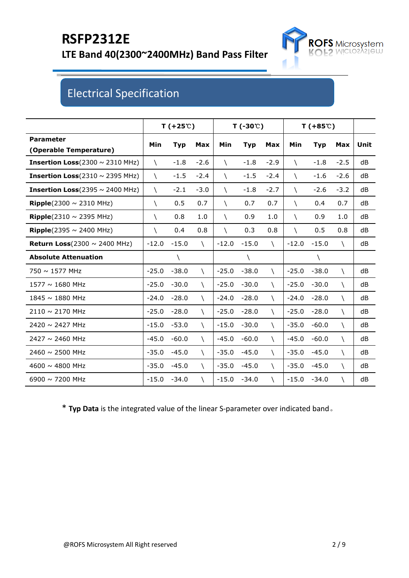

## Electrical Specification

|                                              |             | $T(+25^{\circ}\text{C})$ |             |             | $T(-30^{\circ}\text{C})$ |             |             | $T(+85^\circ)$ |             |      |
|----------------------------------------------|-------------|--------------------------|-------------|-------------|--------------------------|-------------|-------------|----------------|-------------|------|
| <b>Parameter</b><br>(Operable Temperature)   | <b>Min</b>  | <b>Typ</b>               | Max         | Min         | <b>Typ</b>               | Max         | Min         | <b>Typ</b>     | Max         | Unit |
| <b>Insertion Loss</b> (2300 $\sim$ 2310 MHz) | $\lambda$   | $-1.8$                   | $-2.6$      | $\setminus$ | $-1.8$                   | $-2.9$      | $\setminus$ | $-1.8$         | $-2.5$      | dB   |
| <b>Insertion Loss</b> (2310 $\sim$ 2395 MHz) | V           | $-1.5$                   | $-2.4$      | $\setminus$ | $-1.5$                   | $-2.4$      | $\setminus$ | $-1.6$         | $-2.6$      | dB   |
| <b>Insertion Loss</b> (2395 $\sim$ 2400 MHz) | $\setminus$ | $-2.1$                   | $-3.0$      | X           | $-1.8$                   | $-2.7$      | $\setminus$ | $-2.6$         | $-3.2$      | dB   |
| <b>Ripple</b> (2300 $\sim$ 2310 MHz)         | V           | 0.5                      | 0.7         | $\setminus$ | 0.7                      | 0.7         | $\setminus$ | 0.4            | 0.7         | dB   |
| Ripple(2310 $\sim$ 2395 MHz)                 | A.          | 0.8                      | 1.0         | $\setminus$ | 0.9                      | 1.0         | $\setminus$ | 0.9            | 1.0         | dB   |
| <b>Ripple</b> (2395 $\sim$ 2400 MHz)         | A.          | 0.4                      | 0.8         | $\lambda$   | 0.3                      | 0.8         | $\setminus$ | 0.5            | 0.8         | dB   |
| Return Loss $(2300 \sim 2400 \text{ MHz})$   | $-12.0$     | $-15.0$                  | X           | $-12.0$     | $-15.0$                  | A.          | $-12.0$     | $-15.0$        | X           | dB   |
| <b>Absolute Attenuation</b>                  |             | N                        |             |             | N                        |             |             | ∖              |             |      |
| 750 ~ 1577 MHz                               | $-25.0$     | $-38.0$                  | $\setminus$ | $-25.0$     | $-38.0$                  | $\setminus$ | $-25.0$     | $-38.0$        | $\setminus$ | dB   |
| 1577 ~ 1680 MHz                              | $-25.0$     | $-30.0$                  | X.          | $-25.0$     | $-30.0$                  | X           | $-25.0$     | $-30.0$        | X           | dB   |
| 1845 ~ 1880 MHz                              | $-24.0$     | $-28.0$                  | X           | $-24.0$     | $-28.0$                  | X           | $-24.0$     | $-28.0$        | $\setminus$ | dB   |
| 2110 ~ 2170 MHz                              | $-25.0$     | $-28.0$                  | A.          | $-25.0$     | $-28.0$                  | X           | $-25.0$     | $-28.0$        | A.          | dB   |
| 2420 ~ 2427 MHz                              | $-15.0$     | $-53.0$                  | X.          | $-15.0$     | $-30.0$                  | A.          | $-35.0$     | $-60.0$        | $\setminus$ | dB   |
| $2427 \sim 2460$ MHz                         | $-45.0$     | $-60.0$                  | A.          | $-45.0$     | $-60.0$                  | X           | $-45.0$     | $-60.0$        | X           | dB   |
| $2460 \sim 2500$ MHz                         | $-35.0$     | $-45.0$                  | X           | $-35.0$     | $-45.0$                  | X           | $-35.0$     | $-45.0$        | $\setminus$ | dB   |
| 4600 $\sim$ 4800 MHz                         | $-35.0$     | $-45.0$                  | $\setminus$ | $-35.0$     | $-45.0$                  | X           | $-35.0$     | $-45.0$        | X           | dB   |
| 6900 $\sim$ 7200 MHz                         | $-15.0$     | $-34.0$                  | $\setminus$ | $-15.0$     | $-34.0$                  | V           | $-15.0$     | $-34.0$        | N           | dB   |

\* **Typ Data** is the integrated value of the linear S-parameter over indicated band。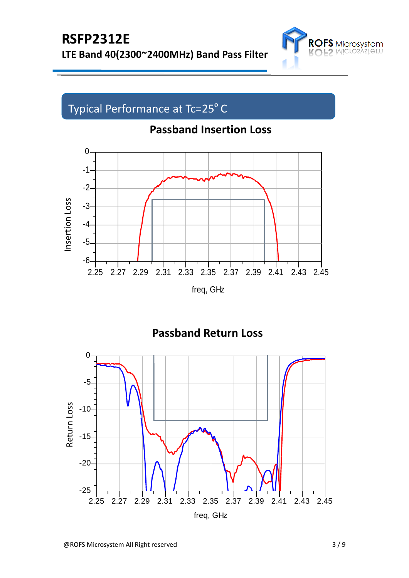

# Typical Performance at Tc=25°C





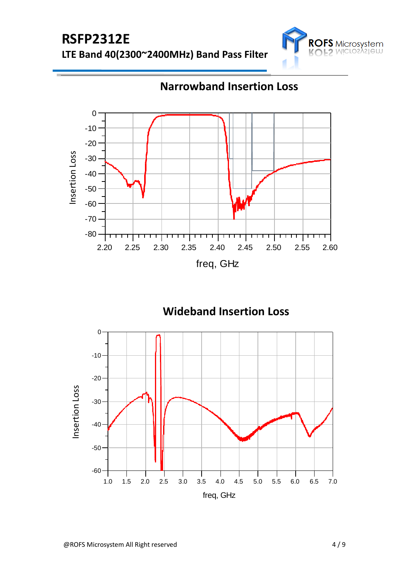



 **Narrowband Insertion Loss**

 **Wideband Insertion Loss**

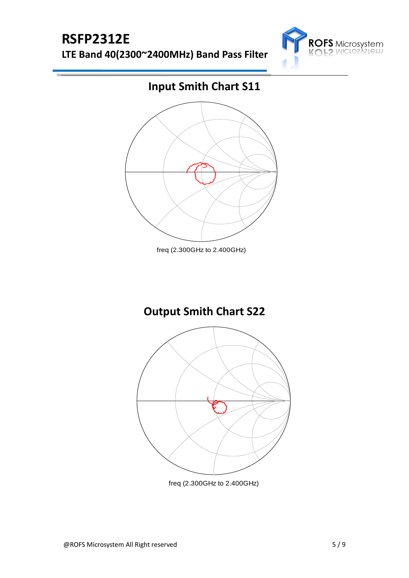# **RSFP2312E**

**LTE Band 40(2300~2400MHz) Band Pass Filter**



## **Input Smith Chart S11**



**Output Smith Chart S22**



freq (2.300GHz to 2.400GHz)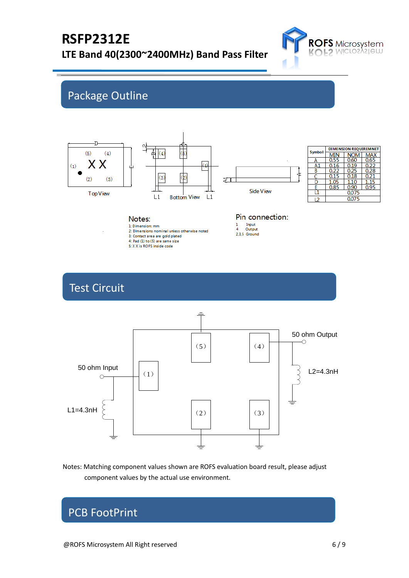

## Package Outline



| <b>Symbol</b> | <b>DIMENSION REQUIREMNET</b> |            |      |  |  |  |  |
|---------------|------------------------------|------------|------|--|--|--|--|
|               |                              | <b>NOM</b> | лах  |  |  |  |  |
| А             | 0.55                         | 0.60       | 0.65 |  |  |  |  |
| А             | 0.16                         | 0.19       | 0.22 |  |  |  |  |
| В             | 0.22                         | 0.25       | 0.28 |  |  |  |  |
|               | 0.15                         | 0.18       | 0.21 |  |  |  |  |
| D             | 1.05                         | 1.10       | 15   |  |  |  |  |
|               | 0.85                         | 0.90       | 0.95 |  |  |  |  |
|               |                              | 0.075      |      |  |  |  |  |
| 12            | 0.075                        |            |      |  |  |  |  |

#### Notes:

1: Dimension: mm 2: Dimensions nominal unless otherwise noted

3: Contact area are gold plated

4: Pad (1) to (5) are same size

5: X X is ROFS inside code

#### Pin connection:  $\mathbf{1}$

Input<br>Output  $2,3,5$  Ground

#### Test Circuit



Notes: Matching component values shown are ROFS evaluation board result, please adjust component values by the actual use environment.

### PCB FootPrint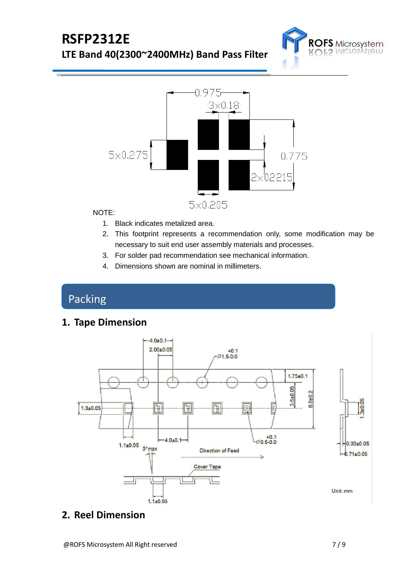



#### NOTE:

- 1. Black indicates metalized area.
- 2. This footprint represents a recommendation only, some modification may be necessary to suit end user assembly materials and processes.
- 3. For solder pad recommendation see mechanical information.
- 4. Dimensions shown are nominal in millimeters.

## Packing

**1. Tape Dimension**



#### **2. Reel Dimension**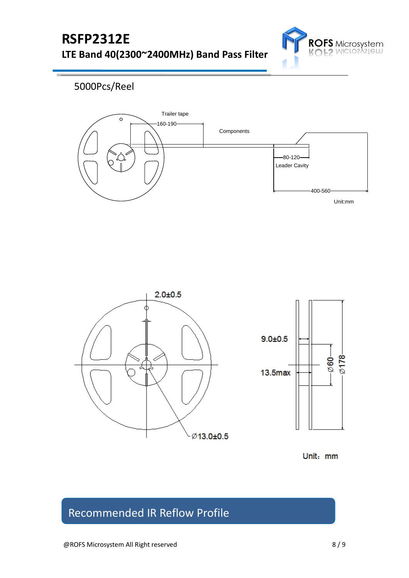

#### 5000Pcs/Reel





Unit: mm

## Recommended IR Reflow Profile